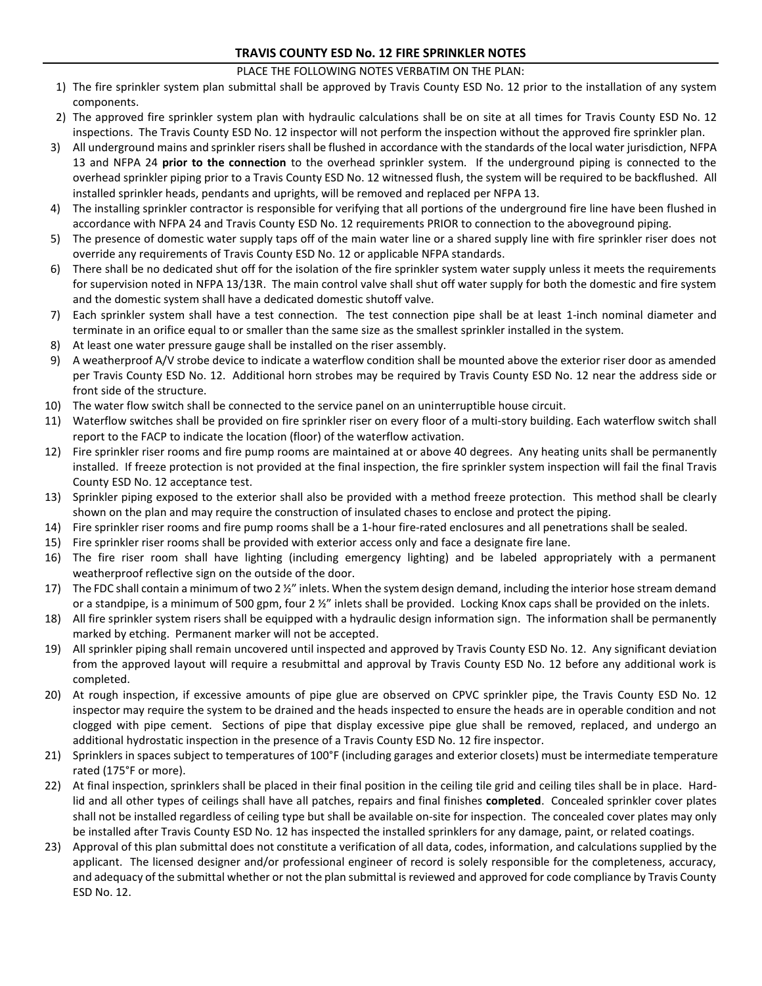# **TRAVIS COUNTY ESD No. 12 FIRE SPRINKLER NOTES**

## PLACE THE FOLLOWING NOTES VERBATIM ON THE PLAN:

- 1) The fire sprinkler system plan submittal shall be approved by Travis County ESD No. 12 prior to the installation of any system components.
- 2) The approved fire sprinkler system plan with hydraulic calculations shall be on site at all times for Travis County ESD No. 12 inspections. The Travis County ESD No. 12 inspector will not perform the inspection without the approved fire sprinkler plan.
- 3) All underground mains and sprinkler risers shall be flushed in accordance with the standards of the local water jurisdiction, NFPA 13 and NFPA 24 **prior to the connection** to the overhead sprinkler system. If the underground piping is connected to the overhead sprinkler piping prior to a Travis County ESD No. 12 witnessed flush, the system will be required to be backflushed. All installed sprinkler heads, pendants and uprights, will be removed and replaced per NFPA 13.
- 4) The installing sprinkler contractor is responsible for verifying that all portions of the underground fire line have been flushed in accordance with NFPA 24 and Travis County ESD No. 12 requirements PRIOR to connection to the aboveground piping.
- 5) The presence of domestic water supply taps off of the main water line or a shared supply line with fire sprinkler riser does not override any requirements of Travis County ESD No. 12 or applicable NFPA standards.
- 6) There shall be no dedicated shut off for the isolation of the fire sprinkler system water supply unless it meets the requirements for supervision noted in NFPA 13/13R. The main control valve shall shut off water supply for both the domestic and fire system and the domestic system shall have a dedicated domestic shutoff valve.
- 7) Each sprinkler system shall have a test connection. The test connection pipe shall be at least 1-inch nominal diameter and terminate in an orifice equal to or smaller than the same size as the smallest sprinkler installed in the system.
- 8) At least one water pressure gauge shall be installed on the riser assembly.
- 9) A weatherproof A/V strobe device to indicate a waterflow condition shall be mounted above the exterior riser door as amended per Travis County ESD No. 12. Additional horn strobes may be required by Travis County ESD No. 12 near the address side or front side of the structure.
- 10) The water flow switch shall be connected to the service panel on an uninterruptible house circuit.
- 11) Waterflow switches shall be provided on fire sprinkler riser on every floor of a multi-story building. Each waterflow switch shall report to the FACP to indicate the location (floor) of the waterflow activation.
- 12) Fire sprinkler riser rooms and fire pump rooms are maintained at or above 40 degrees. Any heating units shall be permanently installed. If freeze protection is not provided at the final inspection, the fire sprinkler system inspection will fail the final Travis County ESD No. 12 acceptance test.
- 13) Sprinkler piping exposed to the exterior shall also be provided with a method freeze protection. This method shall be clearly shown on the plan and may require the construction of insulated chases to enclose and protect the piping.
- 14) Fire sprinkler riser rooms and fire pump rooms shall be a 1-hour fire-rated enclosures and all penetrations shall be sealed.
- 15) Fire sprinkler riser rooms shall be provided with exterior access only and face a designate fire lane.
- 16) The fire riser room shall have lighting (including emergency lighting) and be labeled appropriately with a permanent weatherproof reflective sign on the outside of the door.
- 17) The FDC shall contain a minimum of two 2  $\frac{1}{2}$ " inlets. When the system design demand, including the interior hose stream demand or a standpipe, is a minimum of 500 gpm, four 2 ½" inlets shall be provided. Locking Knox caps shall be provided on the inlets.
- 18) All fire sprinkler system risers shall be equipped with a hydraulic design information sign. The information shall be permanently marked by etching. Permanent marker will not be accepted.
- 19) All sprinkler piping shall remain uncovered until inspected and approved by Travis County ESD No. 12. Any significant deviation from the approved layout will require a resubmittal and approval by Travis County ESD No. 12 before any additional work is completed.
- 20) At rough inspection, if excessive amounts of pipe glue are observed on CPVC sprinkler pipe, the Travis County ESD No. 12 inspector may require the system to be drained and the heads inspected to ensure the heads are in operable condition and not clogged with pipe cement. Sections of pipe that display excessive pipe glue shall be removed, replaced, and undergo an additional hydrostatic inspection in the presence of a Travis County ESD No. 12 fire inspector.
- 21) Sprinklers in spaces subject to temperatures of 100°F (including garages and exterior closets) must be intermediate temperature rated (175°F or more).
- 22) At final inspection, sprinklers shall be placed in their final position in the ceiling tile grid and ceiling tiles shall be in place. Hardlid and all other types of ceilings shall have all patches, repairs and final finishes **completed**. Concealed sprinkler cover plates shall not be installed regardless of ceiling type but shall be available on-site for inspection. The concealed cover plates may only be installed after Travis County ESD No. 12 has inspected the installed sprinklers for any damage, paint, or related coatings.
- 23) Approval of this plan submittal does not constitute a verification of all data, codes, information, and calculations supplied by the applicant. The licensed designer and/or professional engineer of record is solely responsible for the completeness, accuracy, and adequacy of the submittal whether or not the plan submittal is reviewed and approved for code compliance by Travis County ESD No. 12.